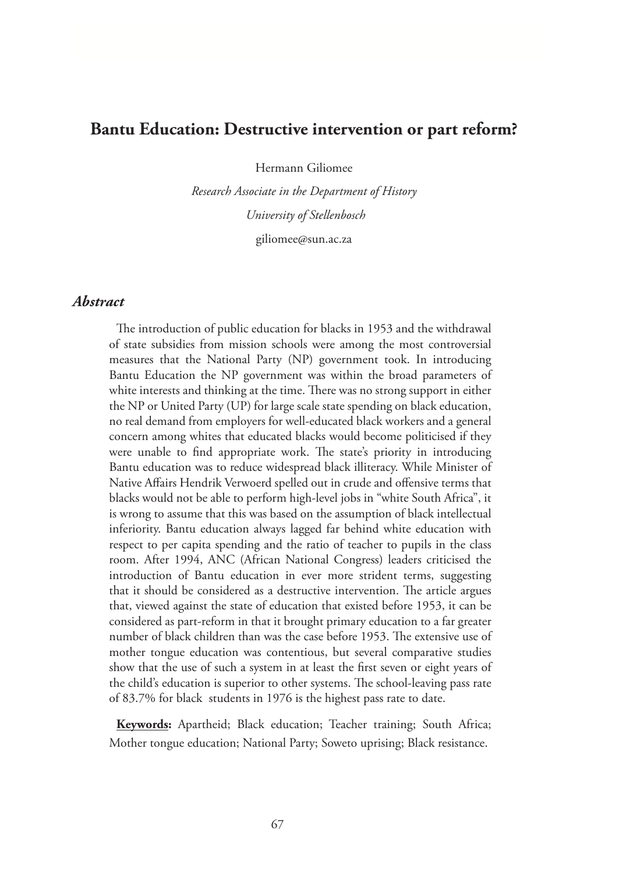# **Bantu Education: Destructive intervention or part reform?**

Hermann Giliomee

*Research Associate in the Department of History University of Stellenbosch*

giliomee@sun.ac.za

## *Abstract*

The introduction of public education for blacks in 1953 and the withdrawal of state subsidies from mission schools were among the most controversial measures that the National Party (NP) government took. In introducing Bantu Education the NP government was within the broad parameters of white interests and thinking at the time. There was no strong support in either the NP or United Party (UP) for large scale state spending on black education, no real demand from employers for well-educated black workers and a general concern among whites that educated blacks would become politicised if they were unable to find appropriate work. The state's priority in introducing Bantu education was to reduce widespread black illiteracy. While Minister of Native Affairs Hendrik Verwoerd spelled out in crude and offensive terms that blacks would not be able to perform high-level jobs in "white South Africa", it is wrong to assume that this was based on the assumption of black intellectual inferiority. Bantu education always lagged far behind white education with respect to per capita spending and the ratio of teacher to pupils in the class room. After 1994, ANC (African National Congress) leaders criticised the introduction of Bantu education in ever more strident terms, suggesting that it should be considered as a destructive intervention. The article argues that, viewed against the state of education that existed before 1953, it can be considered as part-reform in that it brought primary education to a far greater number of black children than was the case before 1953. The extensive use of mother tongue education was contentious, but several comparative studies show that the use of such a system in at least the first seven or eight years of the child's education is superior to other systems. The school-leaving pass rate of 83.7% for black students in 1976 is the highest pass rate to date.

**Keywords:** Apartheid; Black education; Teacher training; South Africa; Mother tongue education; National Party; Soweto uprising; Black resistance.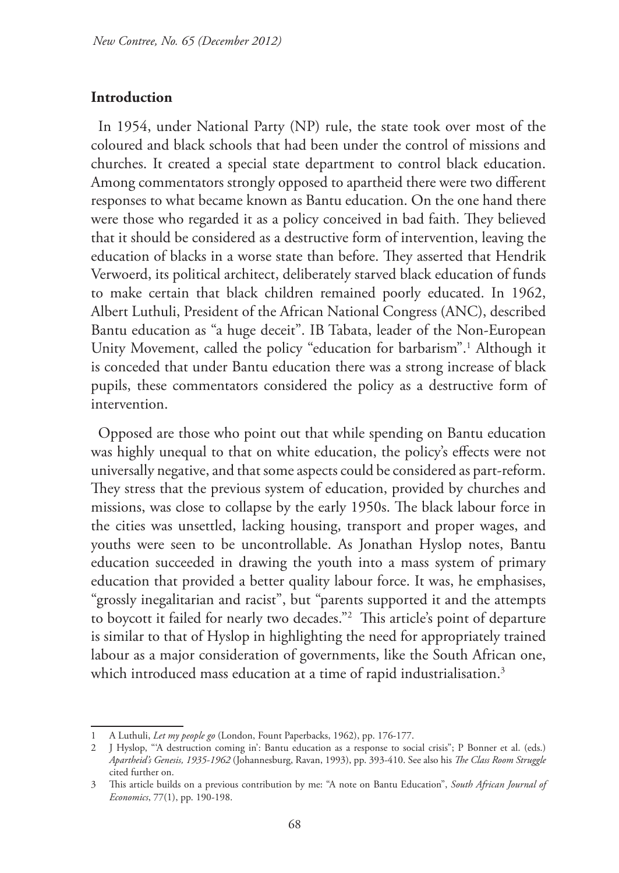#### **Introduction**

In 1954, under National Party (NP) rule, the state took over most of the coloured and black schools that had been under the control of missions and churches. It created a special state department to control black education. Among commentators strongly opposed to apartheid there were two different responses to what became known as Bantu education. On the one hand there were those who regarded it as a policy conceived in bad faith. They believed that it should be considered as a destructive form of intervention, leaving the education of blacks in a worse state than before. They asserted that Hendrik Verwoerd, its political architect, deliberately starved black education of funds to make certain that black children remained poorly educated. In 1962, Albert Luthuli, President of the African National Congress (ANC), described Bantu education as "a huge deceit". IB Tabata, leader of the Non-European Unity Movement, called the policy "education for barbarism".1 Although it is conceded that under Bantu education there was a strong increase of black pupils, these commentators considered the policy as a destructive form of intervention.

Opposed are those who point out that while spending on Bantu education was highly unequal to that on white education, the policy's effects were not universally negative, and that some aspects could be considered as part-reform. They stress that the previous system of education, provided by churches and missions, was close to collapse by the early 1950s. The black labour force in the cities was unsettled, lacking housing, transport and proper wages, and youths were seen to be uncontrollable. As Jonathan Hyslop notes, Bantu education succeeded in drawing the youth into a mass system of primary education that provided a better quality labour force. It was, he emphasises, "grossly inegalitarian and racist", but "parents supported it and the attempts to boycott it failed for nearly two decades."2 This article's point of departure is similar to that of Hyslop in highlighting the need for appropriately trained labour as a major consideration of governments, like the South African one, which introduced mass education at a time of rapid industrialisation.<sup>3</sup>

<sup>1</sup> A Luthuli, *Let my people go* (London, Fount Paperbacks, 1962), pp. 176-177.

<sup>2</sup> J Hyslop, "'A destruction coming in': Bantu education as a response to social crisis"; P Bonner et al. (eds.) *Apartheid's Genesis, 1935-1962* (Johannesburg, Ravan, 1993), pp. 393-410. See also his *The Class Room Struggle* cited further on.

<sup>3</sup> This article builds on a previous contribution by me: "A note on Bantu Education", *South African Journal of Economics*, 77(1), pp. 190-198.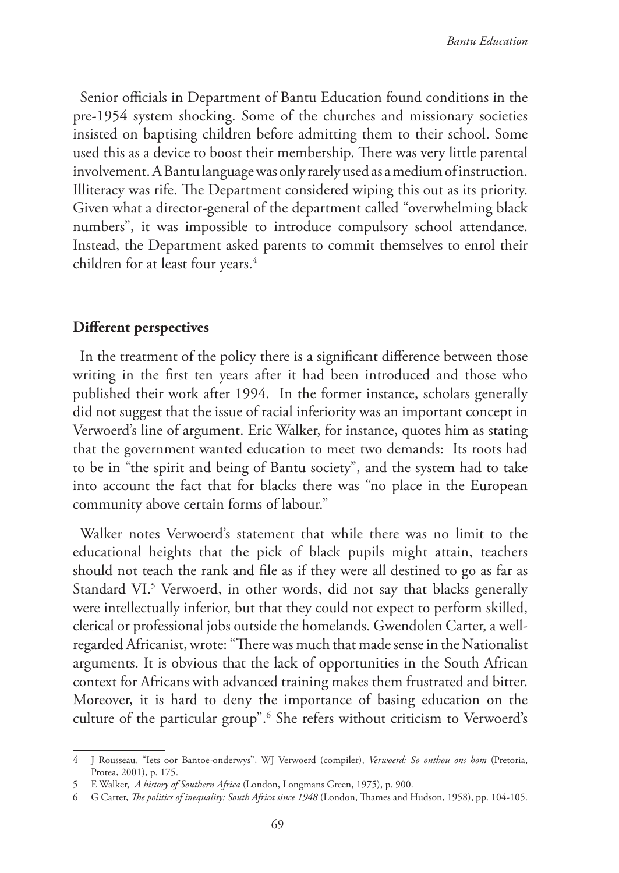Senior officials in Department of Bantu Education found conditions in the pre-1954 system shocking. Some of the churches and missionary societies insisted on baptising children before admitting them to their school. Some used this as a device to boost their membership. There was very little parental involvement. A Bantu language was only rarely used as a medium of instruction. Illiteracy was rife. The Department considered wiping this out as its priority. Given what a director-general of the department called "overwhelming black numbers", it was impossible to introduce compulsory school attendance. Instead, the Department asked parents to commit themselves to enrol their children for at least four years.<sup>4</sup>

## **Different perspectives**

In the treatment of the policy there is a significant difference between those writing in the first ten years after it had been introduced and those who published their work after 1994. In the former instance, scholars generally did not suggest that the issue of racial inferiority was an important concept in Verwoerd's line of argument. Eric Walker, for instance, quotes him as stating that the government wanted education to meet two demands: Its roots had to be in "the spirit and being of Bantu society", and the system had to take into account the fact that for blacks there was "no place in the European community above certain forms of labour."

Walker notes Verwoerd's statement that while there was no limit to the educational heights that the pick of black pupils might attain, teachers should not teach the rank and file as if they were all destined to go as far as Standard VI.<sup>5</sup> Verwoerd, in other words, did not say that blacks generally were intellectually inferior, but that they could not expect to perform skilled, clerical or professional jobs outside the homelands. Gwendolen Carter, a wellregarded Africanist, wrote: "There was much that made sense in the Nationalist arguments. It is obvious that the lack of opportunities in the South African context for Africans with advanced training makes them frustrated and bitter. Moreover, it is hard to deny the importance of basing education on the culture of the particular group".6 She refers without criticism to Verwoerd's

<sup>4</sup> J Rousseau, "Iets oor Bantoe-onderwys", WJ Verwoerd (compiler), *Verwoerd: So onthou ons hom* (Pretoria, Protea, 2001), p. 175.

<sup>5</sup> E Walker, *A history of Southern Africa* (London, Longmans Green, 1975), p. 900.

<sup>6</sup> G Carter, *The politics of inequality: South Africa since 1948* (London, Thames and Hudson, 1958), pp. 104-105.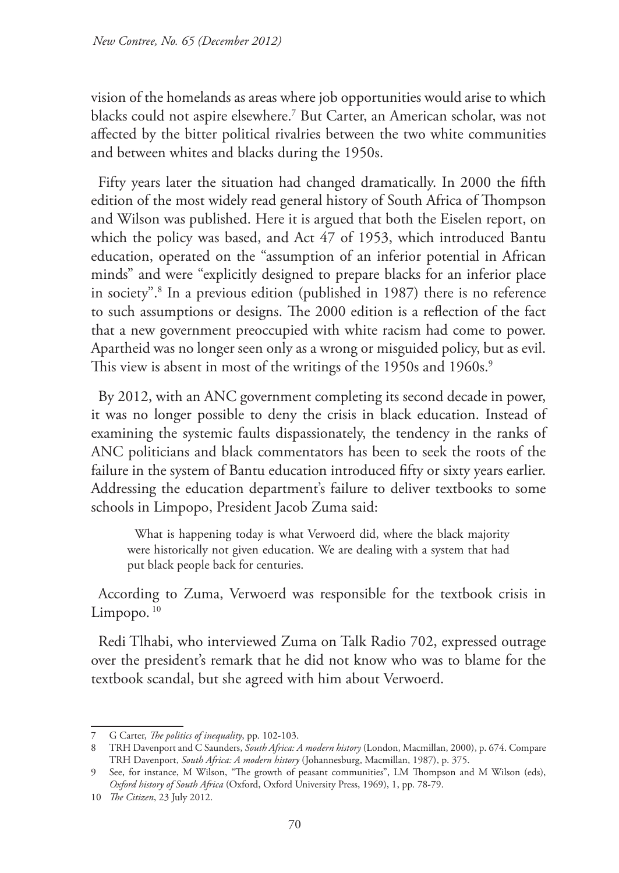vision of the homelands as areas where job opportunities would arise to which blacks could not aspire elsewhere.7 But Carter, an American scholar, was not affected by the bitter political rivalries between the two white communities and between whites and blacks during the 1950s.

Fifty years later the situation had changed dramatically. In 2000 the fifth edition of the most widely read general history of South Africa of Thompson and Wilson was published. Here it is argued that both the Eiselen report, on which the policy was based, and Act 47 of 1953, which introduced Bantu education, operated on the "assumption of an inferior potential in African minds" and were "explicitly designed to prepare blacks for an inferior place in society".8 In a previous edition (published in 1987) there is no reference to such assumptions or designs. The 2000 edition is a reflection of the fact that a new government preoccupied with white racism had come to power. Apartheid was no longer seen only as a wrong or misguided policy, but as evil. This view is absent in most of the writings of the 1950s and 1960s.<sup>9</sup>

By 2012, with an ANC government completing its second decade in power, it was no longer possible to deny the crisis in black education. Instead of examining the systemic faults dispassionately, the tendency in the ranks of ANC politicians and black commentators has been to seek the roots of the failure in the system of Bantu education introduced fifty or sixty years earlier. Addressing the education department's failure to deliver textbooks to some schools in Limpopo, President Jacob Zuma said:

What is happening today is what Verwoerd did, where the black majority were historically not given education. We are dealing with a system that had put black people back for centuries.

According to Zuma, Verwoerd was responsible for the textbook crisis in Limpopo. $10$ 

Redi Tlhabi, who interviewed Zuma on Talk Radio 702, expressed outrage over the president's remark that he did not know who was to blame for the textbook scandal, but she agreed with him about Verwoerd.

<sup>7</sup> G Carter, *The politics of inequality*, pp. 102-103.

<sup>8</sup> TRH Davenport and C Saunders, *South Africa: A modern history* (London, Macmillan, 2000), p. 674. Compare TRH Davenport, *South Africa: A modern history* (Johannesburg, Macmillan, 1987), p. 375.

<sup>9</sup> See, for instance, M Wilson, "The growth of peasant communities", LM Thompson and M Wilson (eds), *Oxford history of South Africa* (Oxford, Oxford University Press, 1969), 1, pp. 78-79.

<sup>10</sup> *The Citizen*, 23 July 2012.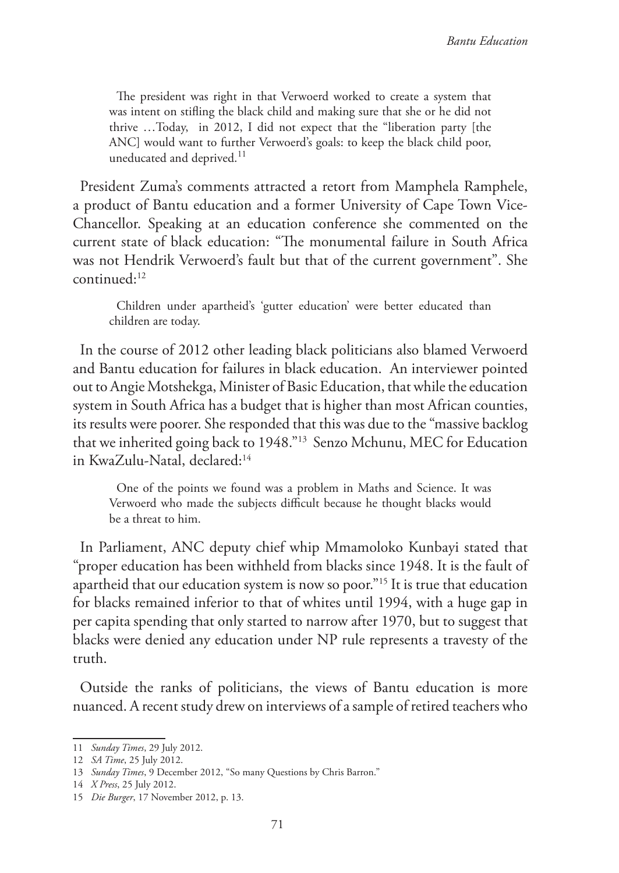The president was right in that Verwoerd worked to create a system that was intent on stifling the black child and making sure that she or he did not thrive …Today, in 2012, I did not expect that the "liberation party [the ANC] would want to further Verwoerd's goals: to keep the black child poor, uneducated and deprived.<sup>11</sup>

President Zuma's comments attracted a retort from Mamphela Ramphele, a product of Bantu education and a former University of Cape Town Vice-Chancellor. Speaking at an education conference she commented on the current state of black education: "The monumental failure in South Africa was not Hendrik Verwoerd's fault but that of the current government". She continued:12

Children under apartheid's 'gutter education' were better educated than children are today.

In the course of 2012 other leading black politicians also blamed Verwoerd and Bantu education for failures in black education. An interviewer pointed out to Angie Motshekga, Minister of Basic Education, that while the education system in South Africa has a budget that is higher than most African counties, its results were poorer. She responded that this was due to the "massive backlog that we inherited going back to 1948."13 Senzo Mchunu, MEC for Education in KwaZulu-Natal, declared:<sup>14</sup>

One of the points we found was a problem in Maths and Science. It was Verwoerd who made the subjects difficult because he thought blacks would be a threat to him.

In Parliament, ANC deputy chief whip Mmamoloko Kunbayi stated that "proper education has been withheld from blacks since 1948. It is the fault of apartheid that our education system is now so poor."15 It is true that education for blacks remained inferior to that of whites until 1994, with a huge gap in per capita spending that only started to narrow after 1970, but to suggest that blacks were denied any education under NP rule represents a travesty of the truth.

Outside the ranks of politicians, the views of Bantu education is more nuanced. A recent study drew on interviews of a sample of retired teachers who

<sup>11</sup> *Sunday Times*, 29 July 2012.

<sup>12</sup> *SA Time*, 25 July 2012.

<sup>13</sup> *Sunday Times*, 9 December 2012, "So many Questions by Chris Barron."

<sup>14</sup> *X Press*, 25 July 2012.

<sup>15</sup> *Die Burger*, 17 November 2012, p. 13.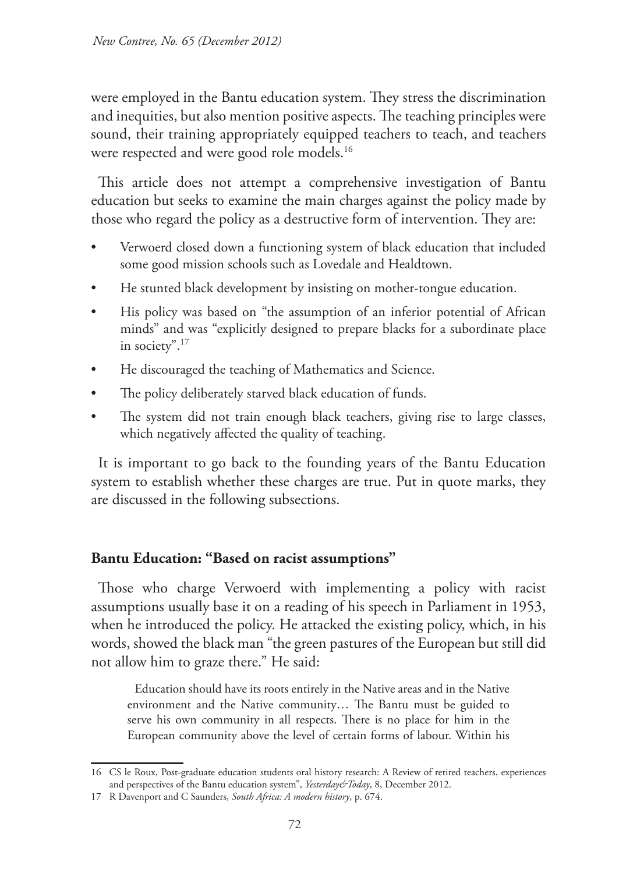were employed in the Bantu education system. They stress the discrimination and inequities, but also mention positive aspects. The teaching principles were sound, their training appropriately equipped teachers to teach, and teachers were respected and were good role models.<sup>16</sup>

This article does not attempt a comprehensive investigation of Bantu education but seeks to examine the main charges against the policy made by those who regard the policy as a destructive form of intervention. They are:

- Verwoerd closed down a functioning system of black education that included some good mission schools such as Lovedale and Healdtown.
- He stunted black development by insisting on mother-tongue education.
- His policy was based on "the assumption of an inferior potential of African minds" and was "explicitly designed to prepare blacks for a subordinate place in society".17
- He discouraged the teaching of Mathematics and Science.
- The policy deliberately starved black education of funds.
- The system did not train enough black teachers, giving rise to large classes, which negatively affected the quality of teaching.

It is important to go back to the founding years of the Bantu Education system to establish whether these charges are true. Put in quote marks, they are discussed in the following subsections.

# **Bantu Education: "Based on racist assumptions"**

Those who charge Verwoerd with implementing a policy with racist assumptions usually base it on a reading of his speech in Parliament in 1953, when he introduced the policy. He attacked the existing policy, which, in his words, showed the black man "the green pastures of the European but still did not allow him to graze there." He said:

Education should have its roots entirely in the Native areas and in the Native environment and the Native community… The Bantu must be guided to serve his own community in all respects. There is no place for him in the European community above the level of certain forms of labour. Within his

<sup>16</sup> CS le Roux, Post-graduate education students oral history research: A Review of retired teachers, experiences and perspectives of the Bantu education system", *Yesterday&Today*, 8, December 2012.

<sup>17</sup> R Davenport and C Saunders, *South Africa: A modern history*, p. 674.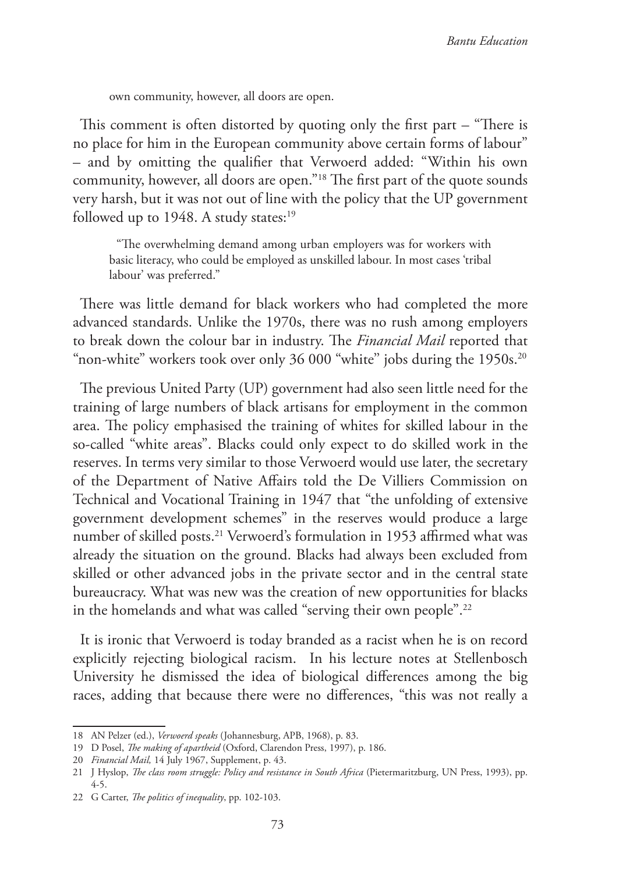own community, however, all doors are open.

This comment is often distorted by quoting only the first part – "There is no place for him in the European community above certain forms of labour" – and by omitting the qualifier that Verwoerd added: "Within his own community, however, all doors are open."18 The first part of the quote sounds very harsh, but it was not out of line with the policy that the UP government followed up to 1948. A study states:<sup>19</sup>

"The overwhelming demand among urban employers was for workers with basic literacy, who could be employed as unskilled labour. In most cases 'tribal labour' was preferred."

There was little demand for black workers who had completed the more advanced standards. Unlike the 1970s, there was no rush among employers to break down the colour bar in industry. The *Financial Mail* reported that "non-white" workers took over only 36 000 "white" jobs during the 1950s.<sup>20</sup>

The previous United Party (UP) government had also seen little need for the training of large numbers of black artisans for employment in the common area. The policy emphasised the training of whites for skilled labour in the so-called "white areas". Blacks could only expect to do skilled work in the reserves. In terms very similar to those Verwoerd would use later, the secretary of the Department of Native Affairs told the De Villiers Commission on Technical and Vocational Training in 1947 that "the unfolding of extensive government development schemes" in the reserves would produce a large number of skilled posts.<sup>21</sup> Verwoerd's formulation in 1953 affirmed what was already the situation on the ground. Blacks had always been excluded from skilled or other advanced jobs in the private sector and in the central state bureaucracy. What was new was the creation of new opportunities for blacks in the homelands and what was called "serving their own people".<sup>22</sup>

It is ironic that Verwoerd is today branded as a racist when he is on record explicitly rejecting biological racism. In his lecture notes at Stellenbosch University he dismissed the idea of biological differences among the big races, adding that because there were no differences, "this was not really a

<sup>18</sup> AN Pelzer (ed.), *Verwoerd speaks* (Johannesburg, APB, 1968), p. 83.

<sup>19</sup> D Posel, *The making of apartheid* (Oxford, Clarendon Press, 1997), p. 186.

<sup>20</sup> *Financial Mail,* 14 July 1967, Supplement, p. 43.

<sup>21</sup> J Hyslop, *The class room struggle: Policy and resistance in South Africa* (Pietermaritzburg, UN Press, 1993), pp. 4-5.

<sup>22</sup> G Carter, *The politics of inequality*, pp. 102-103.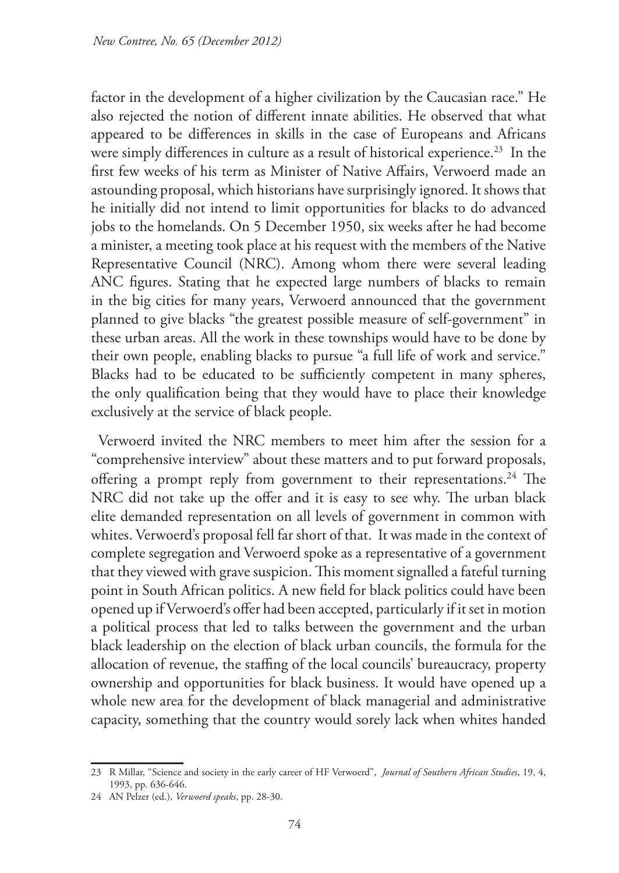factor in the development of a higher civilization by the Caucasian race." He also rejected the notion of different innate abilities. He observed that what appeared to be differences in skills in the case of Europeans and Africans were simply differences in culture as a result of historical experience.<sup>23</sup> In the first few weeks of his term as Minister of Native Affairs, Verwoerd made an astounding proposal, which historians have surprisingly ignored. It shows that he initially did not intend to limit opportunities for blacks to do advanced jobs to the homelands. On 5 December 1950, six weeks after he had become a minister, a meeting took place at his request with the members of the Native Representative Council (NRC). Among whom there were several leading ANC figures. Stating that he expected large numbers of blacks to remain in the big cities for many years, Verwoerd announced that the government planned to give blacks "the greatest possible measure of self-government" in these urban areas. All the work in these townships would have to be done by their own people, enabling blacks to pursue "a full life of work and service." Blacks had to be educated to be sufficiently competent in many spheres, the only qualification being that they would have to place their knowledge exclusively at the service of black people.

Verwoerd invited the NRC members to meet him after the session for a "comprehensive interview" about these matters and to put forward proposals, offering a prompt reply from government to their representations.<sup>24</sup> The NRC did not take up the offer and it is easy to see why. The urban black elite demanded representation on all levels of government in common with whites. Verwoerd's proposal fell far short of that. It was made in the context of complete segregation and Verwoerd spoke as a representative of a government that they viewed with grave suspicion. This moment signalled a fateful turning point in South African politics. A new field for black politics could have been opened up if Verwoerd's offer had been accepted, particularly if it set in motion a political process that led to talks between the government and the urban black leadership on the election of black urban councils, the formula for the allocation of revenue, the staffing of the local councils' bureaucracy, property ownership and opportunities for black business. It would have opened up a whole new area for the development of black managerial and administrative capacity, something that the country would sorely lack when whites handed

<sup>23</sup> R Millar, "Science and society in the early career of HF Verwoerd", *Journal of Southern African Studies*, 19, 4, 1993, pp. 636-646.

<sup>24</sup> AN Pelzer (ed.), *Verwoerd speaks*, pp. 28-30.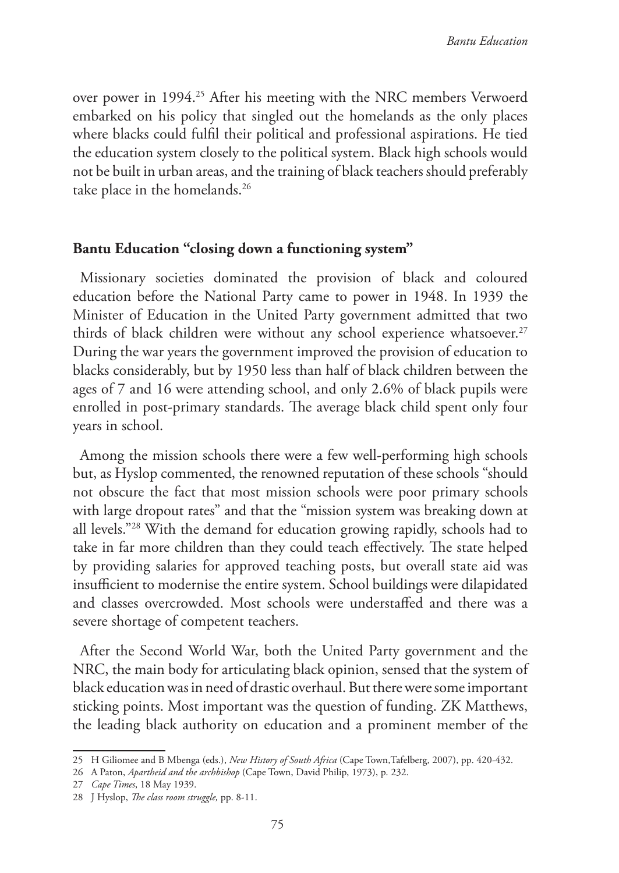over power in 1994.<sup>25</sup> After his meeting with the NRC members Verwoerd embarked on his policy that singled out the homelands as the only places where blacks could fulfil their political and professional aspirations. He tied the education system closely to the political system. Black high schools would not be built in urban areas, and the training of black teachers should preferably take place in the homelands.<sup>26</sup>

## **Bantu Education "closing down a functioning system"**

Missionary societies dominated the provision of black and coloured education before the National Party came to power in 1948. In 1939 the Minister of Education in the United Party government admitted that two thirds of black children were without any school experience whatsoever.<sup>27</sup> During the war years the government improved the provision of education to blacks considerably, but by 1950 less than half of black children between the ages of 7 and 16 were attending school, and only 2.6% of black pupils were enrolled in post-primary standards. The average black child spent only four years in school.

Among the mission schools there were a few well-performing high schools but, as Hyslop commented, the renowned reputation of these schools "should not obscure the fact that most mission schools were poor primary schools with large dropout rates" and that the "mission system was breaking down at all levels."28 With the demand for education growing rapidly, schools had to take in far more children than they could teach effectively. The state helped by providing salaries for approved teaching posts, but overall state aid was insufficient to modernise the entire system. School buildings were dilapidated and classes overcrowded. Most schools were understaffed and there was a severe shortage of competent teachers.

After the Second World War, both the United Party government and the NRC, the main body for articulating black opinion, sensed that the system of black education was in need of drastic overhaul. But there were some important sticking points. Most important was the question of funding. ZK Matthews, the leading black authority on education and a prominent member of the

<sup>25</sup> H Giliomee and B Mbenga (eds.), *New History of South Africa* (Cape Town,Tafelberg, 2007), pp. 420-432.

<sup>26</sup> A Paton, *Apartheid and the archbishop* (Cape Town, David Philip, 1973), p. 232.

<sup>27</sup> *Cape Times*, 18 May 1939.

<sup>28</sup> J Hyslop, *The class room struggle,* pp. 8-11.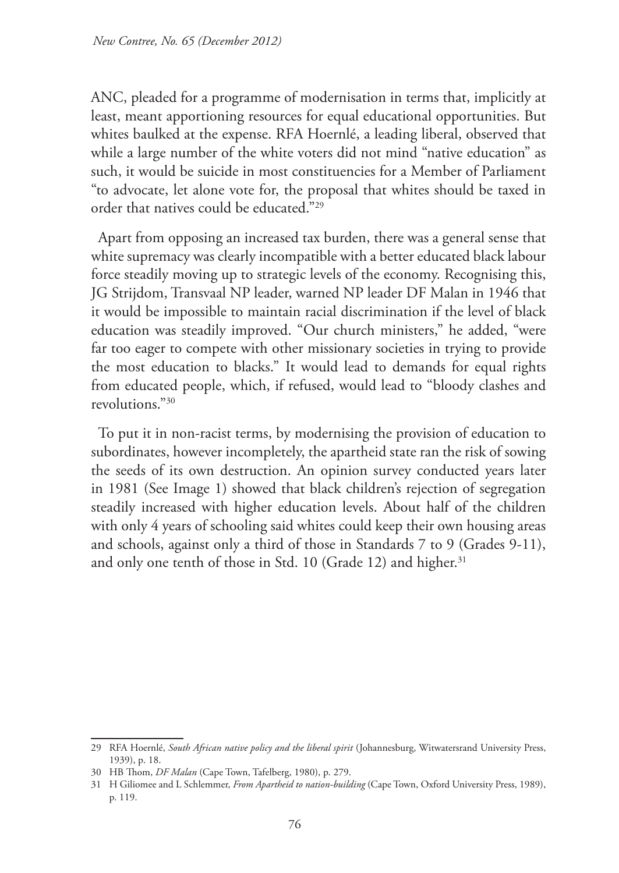ANC, pleaded for a programme of modernisation in terms that, implicitly at least, meant apportioning resources for equal educational opportunities. But whites baulked at the expense. RFA Hoernlé, a leading liberal, observed that while a large number of the white voters did not mind "native education" as such, it would be suicide in most constituencies for a Member of Parliament "to advocate, let alone vote for, the proposal that whites should be taxed in order that natives could be educated."29

Apart from opposing an increased tax burden, there was a general sense that white supremacy was clearly incompatible with a better educated black labour force steadily moving up to strategic levels of the economy. Recognising this, JG Strijdom, Transvaal NP leader, warned NP leader DF Malan in 1946 that it would be impossible to maintain racial discrimination if the level of black education was steadily improved. "Our church ministers," he added, "were far too eager to compete with other missionary societies in trying to provide the most education to blacks." It would lead to demands for equal rights from educated people, which, if refused, would lead to "bloody clashes and revolutions."30

To put it in non-racist terms, by modernising the provision of education to subordinates, however incompletely, the apartheid state ran the risk of sowing the seeds of its own destruction. An opinion survey conducted years later in 1981 (See Image 1) showed that black children's rejection of segregation steadily increased with higher education levels. About half of the children with only 4 years of schooling said whites could keep their own housing areas and schools, against only a third of those in Standards 7 to 9 (Grades 9-11), and only one tenth of those in Std. 10 (Grade 12) and higher.<sup>31</sup>

<sup>29</sup> RFA Hoernlé, *South African native policy and the liberal spirit* (Johannesburg, Witwatersrand University Press, 1939), p. 18.

<sup>30</sup> HB Thom, *DF Malan* (Cape Town, Tafelberg, 1980), p. 279.

<sup>31</sup> H Giliomee and L Schlemmer, *From Apartheid to nation-building* (Cape Town, Oxford University Press, 1989), p. 119.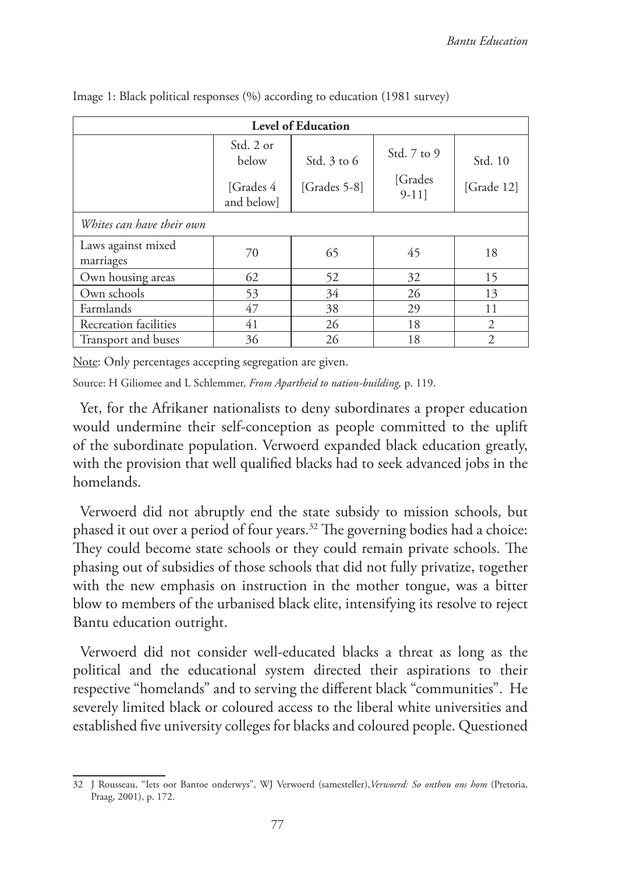| <b>Level of Education</b>       |                                                |                                 |                                     |                       |  |  |  |  |  |  |
|---------------------------------|------------------------------------------------|---------------------------------|-------------------------------------|-----------------------|--|--|--|--|--|--|
|                                 | Std. 2 or<br>below<br>[Grades 4]<br>and below] | Std. $3$ to $6$<br>[Grades 5-8] | Std. 7 to 9<br>[Grades]<br>$9-11$ ] | Std. 10<br>[Grade 12] |  |  |  |  |  |  |
| Whites can have their own       |                                                |                                 |                                     |                       |  |  |  |  |  |  |
| Laws against mixed<br>marriages | 70                                             | 65                              | 45                                  | 18                    |  |  |  |  |  |  |
| Own housing areas               | 62                                             | 52                              | 32                                  | 15                    |  |  |  |  |  |  |
| Own schools                     | 53                                             | 34                              | 26                                  | 13                    |  |  |  |  |  |  |
| Farmlands                       | 47                                             | 38                              | 29                                  | 11                    |  |  |  |  |  |  |
| Recreation facilities           | 41                                             | 26                              | 18                                  | $\overline{c}$        |  |  |  |  |  |  |
| Transport and buses             | 36                                             | 26                              | 18                                  | $\overline{2}$        |  |  |  |  |  |  |

Image 1: Black political responses (%) according to education (1981 survey)

Note: Only percentages accepting segregation are given.

Source: H Giliomee and L Schlemmer, *From Apartheid to nation-building,* p. 119.

Yet, for the Afrikaner nationalists to deny subordinates a proper education would undermine their self-conception as people committed to the uplift of the subordinate population. Verwoerd expanded black education greatly, with the provision that well qualified blacks had to seek advanced jobs in the homelands.

Verwoerd did not abruptly end the state subsidy to mission schools, but phased it out over a period of four years.32 The governing bodies had a choice: They could become state schools or they could remain private schools. The phasing out of subsidies of those schools that did not fully privatize, together with the new emphasis on instruction in the mother tongue, was a bitter blow to members of the urbanised black elite, intensifying its resolve to reject Bantu education outright.

Verwoerd did not consider well-educated blacks a threat as long as the political and the educational system directed their aspirations to their respective "homelands" and to serving the different black "communities". He severely limited black or coloured access to the liberal white universities and established five university colleges for blacks and coloured people. Questioned

<sup>32</sup> J Rousseau, "Iets oor Bantoe onderwys", WJ Verwoerd (samesteller),*Verwoerd: So onthou ons hom* (Pretoria, Praag, 2001), p. 172.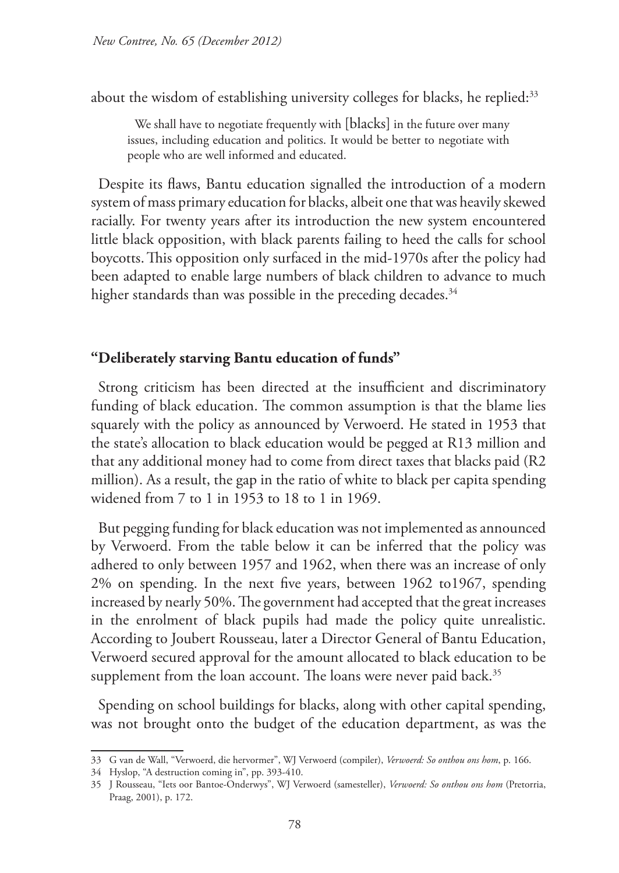about the wisdom of establishing university colleges for blacks, he replied:<sup>33</sup>

We shall have to negotiate frequently with [blacks] in the future over many issues, including education and politics. It would be better to negotiate with people who are well informed and educated.

Despite its flaws, Bantu education signalled the introduction of a modern system of mass primary education for blacks, albeit one that was heavily skewed racially. For twenty years after its introduction the new system encountered little black opposition, with black parents failing to heed the calls for school boycotts.This opposition only surfaced in the mid-1970s after the policy had been adapted to enable large numbers of black children to advance to much higher standards than was possible in the preceding decades.<sup>34</sup>

#### **"Deliberately starving Bantu education of funds"**

Strong criticism has been directed at the insufficient and discriminatory funding of black education. The common assumption is that the blame lies squarely with the policy as announced by Verwoerd. He stated in 1953 that the state's allocation to black education would be pegged at R13 million and that any additional money had to come from direct taxes that blacks paid (R2 million). As a result, the gap in the ratio of white to black per capita spending widened from 7 to 1 in 1953 to 18 to 1 in 1969.

But pegging funding for black education was not implemented as announced by Verwoerd. From the table below it can be inferred that the policy was adhered to only between 1957 and 1962, when there was an increase of only 2% on spending. In the next five years, between 1962 to1967, spending increased by nearly 50%. The government had accepted that the great increases in the enrolment of black pupils had made the policy quite unrealistic. According to Joubert Rousseau, later a Director General of Bantu Education, Verwoerd secured approval for the amount allocated to black education to be supplement from the loan account. The loans were never paid back.<sup>35</sup>

Spending on school buildings for blacks, along with other capital spending, was not brought onto the budget of the education department, as was the

<sup>33</sup> G van de Wall, "Verwoerd, die hervormer", WJ Verwoerd (compiler), *Verwoerd: So onthou ons hom*, p. 166.

<sup>34</sup> Hyslop, "A destruction coming in", pp. 393-410.

<sup>35</sup> J Rousseau, "Iets oor Bantoe-Onderwys", WJ Verwoerd (samesteller), *Verwoerd: So onthou ons hom* (Pretorria, Praag, 2001), p. 172.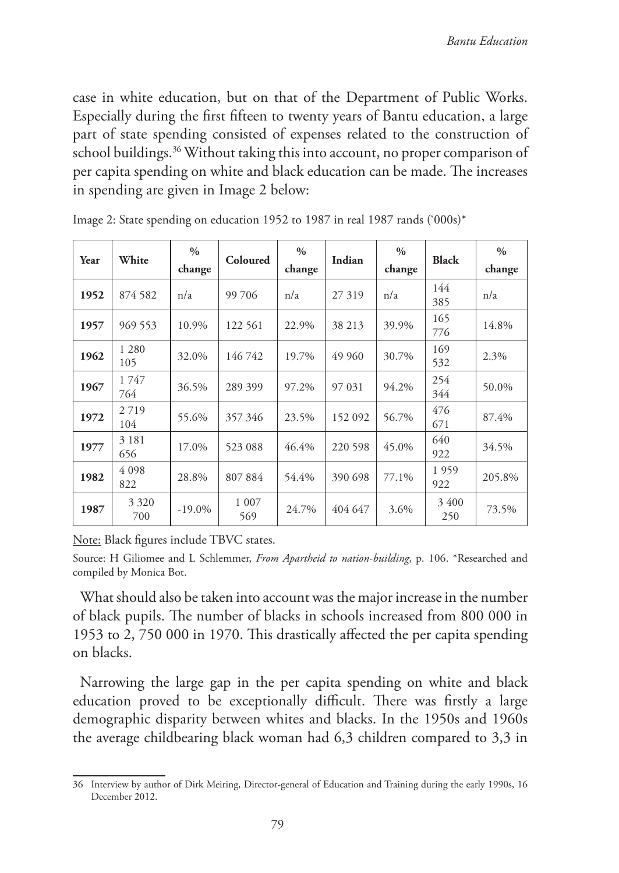case in white education, but on that of the Department of Public Works. Especially during the first fifteen to twenty years of Bantu education, a large part of state spending consisted of expenses related to the construction of school buildings.<sup>36</sup> Without taking this into account, no proper comparison of per capita spending on white and black education can be made. The increases in spending are given in Image 2 below:

| Year | White          | $\frac{0}{0}$<br>change | <b>Coloured</b> | $\frac{0}{0}$<br>change | Indian  | $\frac{0}{0}$<br>change | <b>Black</b> | $\frac{0}{0}$<br>change |
|------|----------------|-------------------------|-----------------|-------------------------|---------|-------------------------|--------------|-------------------------|
| 1952 | 874 582        | n/a                     | 99 706          | n/a                     | 27 319  | n/a                     | 144<br>385   | n/a                     |
| 1957 | 969 553        | 10.9%                   | 122 561         | 22.9%                   | 38 213  | 39.9%                   | 165<br>776   | 14.8%                   |
| 1962 | 1 2 8 0<br>105 | 32.0%                   | 146742          | 19.7%                   | 49 960  | 30.7%                   | 169<br>532   | 2.3%                    |
| 1967 | 1747<br>764    | 36.5%                   | 289 399         | 97.2%                   | 97 031  | 94.2%                   | 254<br>344   | 50.0%                   |
| 1972 | 2719<br>104    | 55.6%                   | 357 346         | 23.5%                   | 152 092 | 56.7%                   | 476<br>671   | 87.4%                   |
| 1977 | 3 1 8 1<br>656 | 17.0%                   | 523 088         | 46.4%                   | 220 598 | 45.0%                   | 640<br>922   | 34.5%                   |
| 1982 | 4 0 9 8<br>822 | 28.8%                   | 807884          | 54.4%                   | 390 698 | 77.1%                   | 1959<br>922  | 205.8%                  |
| 1987 | 3 3 2 0<br>700 | $-19.0\%$               | 1 0 0 7<br>569  | 24.7%                   | 404 647 | 3.6%                    | 3400<br>250  | 73.5%                   |

Image 2: State spending on education 1952 to 1987 in real 1987 rands ('000s)\*

Note: Black figures include TBVC states.

Source: H Giliomee and L Schlemmer, *From Apartheid to nation-building*, p. 106. \*Researched and compiled by Monica Bot.

What should also be taken into account was the major increase in the number of black pupils. The number of blacks in schools increased from 800 000 in 1953 to 2, 750 000 in 1970. This drastically affected the per capita spending on blacks.

Narrowing the large gap in the per capita spending on white and black education proved to be exceptionally difficult. There was firstly a large demographic disparity between whites and blacks. In the 1950s and 1960s the average childbearing black woman had 6,3 children compared to 3,3 in

<sup>36</sup> Interview by author of Dirk Meiring, Director-general of Education and Training during the early 1990s, 16 December 2012.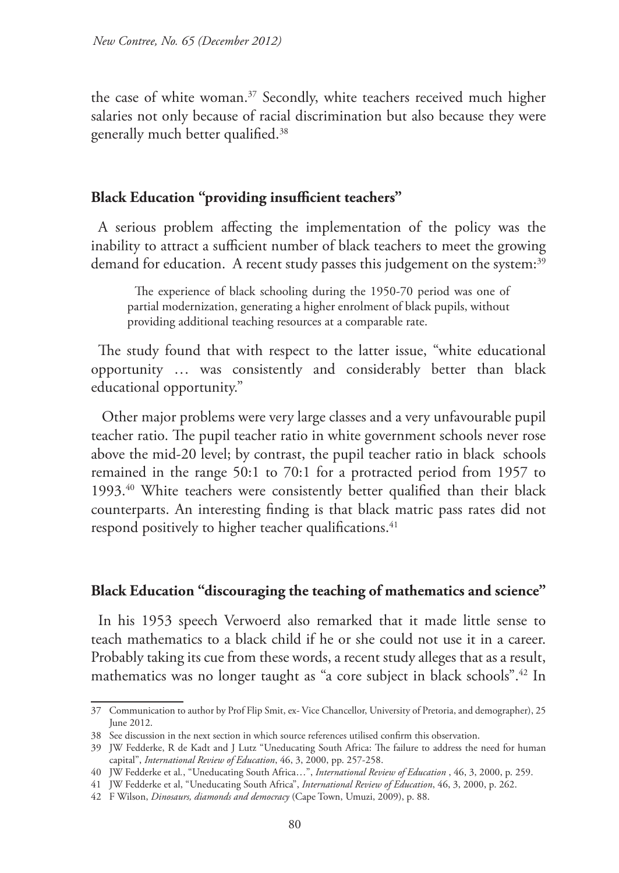the case of white woman.37 Secondly, white teachers received much higher salaries not only because of racial discrimination but also because they were generally much better qualified.38

#### **Black Education "providing insufficient teachers"**

A serious problem affecting the implementation of the policy was the inability to attract a sufficient number of black teachers to meet the growing demand for education. A recent study passes this judgement on the system:<sup>39</sup>

The experience of black schooling during the 1950-70 period was one of partial modernization, generating a higher enrolment of black pupils, without providing additional teaching resources at a comparable rate.

The study found that with respect to the latter issue, "white educational opportunity … was consistently and considerably better than black educational opportunity."

 Other major problems were very large classes and a very unfavourable pupil teacher ratio. The pupil teacher ratio in white government schools never rose above the mid-20 level; by contrast, the pupil teacher ratio in black schools remained in the range 50:1 to 70:1 for a protracted period from 1957 to 1993.40 White teachers were consistently better qualified than their black counterparts. An interesting finding is that black matric pass rates did not respond positively to higher teacher qualifications.<sup>41</sup>

#### **Black Education "discouraging the teaching of mathematics and science"**

In his 1953 speech Verwoerd also remarked that it made little sense to teach mathematics to a black child if he or she could not use it in a career. Probably taking its cue from these words, a recent study alleges that as a result, mathematics was no longer taught as "a core subject in black schools".42 In

<sup>37</sup> Communication to author by Prof Flip Smit, ex- Vice Chancellor, University of Pretoria, and demographer), 25 June 2012.

<sup>38</sup> See discussion in the next section in which source references utilised confirm this observation.

<sup>39</sup> JW Fedderke, R de Kadt and J Lutz "Uneducating South Africa: The failure to address the need for human capital", *International Review of Education*, 46, 3, 2000, pp. 257-258.

<sup>40</sup> JW Fedderke et al*.*, "Uneducating South Africa…", *International Review of Education* , 46, 3, 2000, p. 259.

<sup>41</sup> JW Fedderke et al, "Uneducating South Africa", *International Review of Education*, 46, 3, 2000, p. 262.

<sup>42</sup> F Wilson, *Dinosaurs, diamonds and democracy* (Cape Town, Umuzi, 2009), p. 88.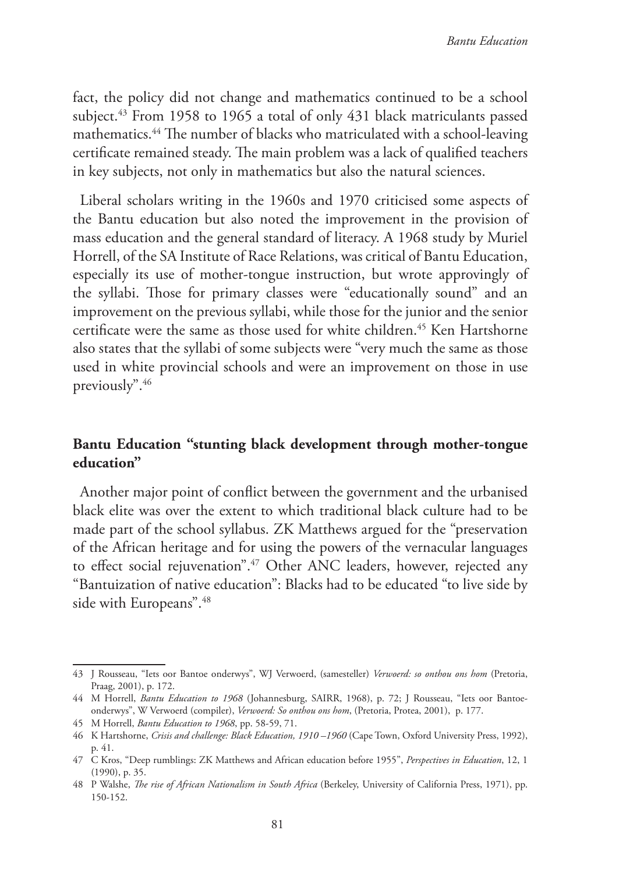fact, the policy did not change and mathematics continued to be a school subject.<sup>43</sup> From 1958 to 1965 a total of only 431 black matriculants passed mathematics.44 The number of blacks who matriculated with a school-leaving certificate remained steady. The main problem was a lack of qualified teachers in key subjects, not only in mathematics but also the natural sciences.

Liberal scholars writing in the 1960s and 1970 criticised some aspects of the Bantu education but also noted the improvement in the provision of mass education and the general standard of literacy. A 1968 study by Muriel Horrell, of the SA Institute of Race Relations, was critical of Bantu Education, especially its use of mother-tongue instruction, but wrote approvingly of the syllabi. Those for primary classes were "educationally sound" and an improvement on the previous syllabi, while those for the junior and the senior certificate were the same as those used for white children.<sup>45</sup> Ken Hartshorne also states that the syllabi of some subjects were "very much the same as those used in white provincial schools and were an improvement on those in use previously".46

## **Bantu Education "stunting black development through mother-tongue education"**

Another major point of conflict between the government and the urbanised black elite was over the extent to which traditional black culture had to be made part of the school syllabus. ZK Matthews argued for the "preservation of the African heritage and for using the powers of the vernacular languages to effect social rejuvenation".<sup>47</sup> Other ANC leaders, however, rejected any "Bantuization of native education": Blacks had to be educated "to live side by side with Europeans".<sup>48</sup>

<sup>43</sup> J Rousseau, "Iets oor Bantoe onderwys", WJ Verwoerd, (samesteller) *Verwoerd: so onthou ons hom* (Pretoria, Praag, 2001), p. 172.

<sup>44</sup> M Horrell, *Bantu Education to 1968* (Johannesburg, SAIRR, 1968), p. 72; J Rousseau, "Iets oor Bantoeonderwys", W Verwoerd (compiler), *Verwoerd: So onthou ons hom*, (Pretoria, Protea, 2001), p. 177.

<sup>45</sup> M Horrell, *Bantu Education to 1968*, pp. 58-59, 71.

<sup>46</sup> K Hartshorne, *Crisis and challenge: Black Education, 1910 –1960* (Cape Town, Oxford University Press, 1992), p. 41.

<sup>47</sup> C Kros, "Deep rumblings: ZK Matthews and African education before 1955", *Perspectives in Education*, 12, 1 (1990), p. 35.

<sup>48</sup> P Walshe, *The rise of African Nationalism in South Africa* (Berkeley, University of California Press, 1971), pp. 150-152.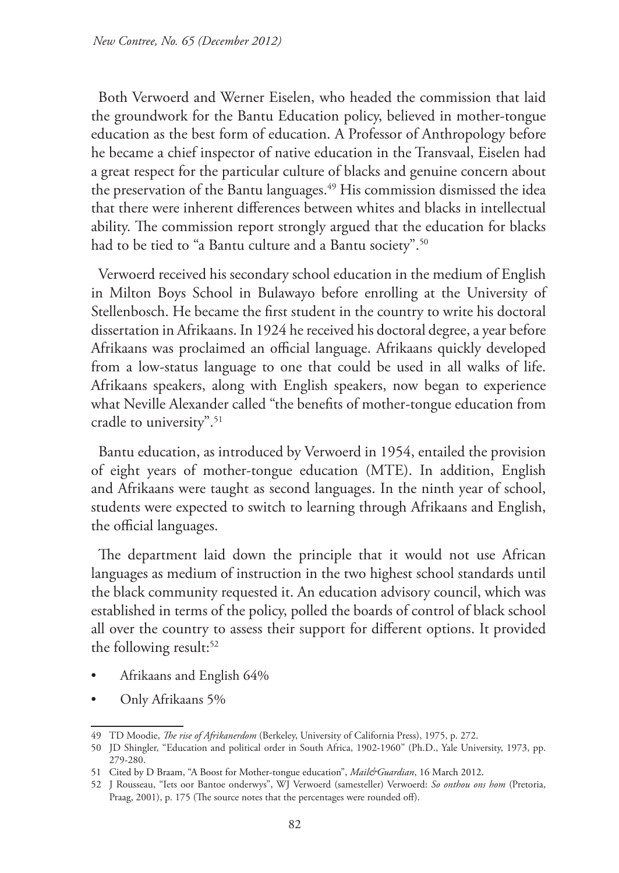Both Verwoerd and Werner Eiselen, who headed the commission that laid the groundwork for the Bantu Education policy, believed in mother-tongue education as the best form of education. A Professor of Anthropology before he became a chief inspector of native education in the Transvaal, Eiselen had a great respect for the particular culture of blacks and genuine concern about the preservation of the Bantu languages.<sup>49</sup> His commission dismissed the idea that there were inherent differences between whites and blacks in intellectual ability. The commission report strongly argued that the education for blacks had to be tied to "a Bantu culture and a Bantu society".<sup>50</sup>

Verwoerd received his secondary school education in the medium of English in Milton Boys School in Bulawayo before enrolling at the University of Stellenbosch. He became the first student in the country to write his doctoral dissertation in Afrikaans. In 1924 he received his doctoral degree, a year before Afrikaans was proclaimed an official language. Afrikaans quickly developed from a low-status language to one that could be used in all walks of life. Afrikaans speakers, along with English speakers, now began to experience what Neville Alexander called "the benefits of mother-tongue education from cradle to university".<sup>51</sup>

Bantu education, as introduced by Verwoerd in 1954, entailed the provision of eight years of mother-tongue education (MTE). In addition, English and Afrikaans were taught as second languages. In the ninth year of school, students were expected to switch to learning through Afrikaans and English, the official languages.

The department laid down the principle that it would not use African languages as medium of instruction in the two highest school standards until the black community requested it. An education advisory council, which was established in terms of the policy, polled the boards of control of black school all over the country to assess their support for different options. It provided the following result: $52$ 

- Afrikaans and English 64%
- Only Afrikaans 5%

<sup>49</sup> TD Moodie, *The rise of Afrikanerdom* (Berkeley, University of California Press), 1975, p. 272.

<sup>50</sup> JD Shingler, "Education and political order in South Africa, 1902-1960" (Ph.D., Yale University, 1973, pp. 279-280.

<sup>51</sup> Cited by D Braam, "A Boost for Mother-tongue education", *Mail&Guardian*, 16 March 2012.

<sup>52</sup> J Rousseau, "Iets oor Bantoe onderwys", WJ Verwoerd (samesteller) Verwoerd: *So onthou ons hom* (Pretoria, Praag, 2001), p. 175 (The source notes that the percentages were rounded off).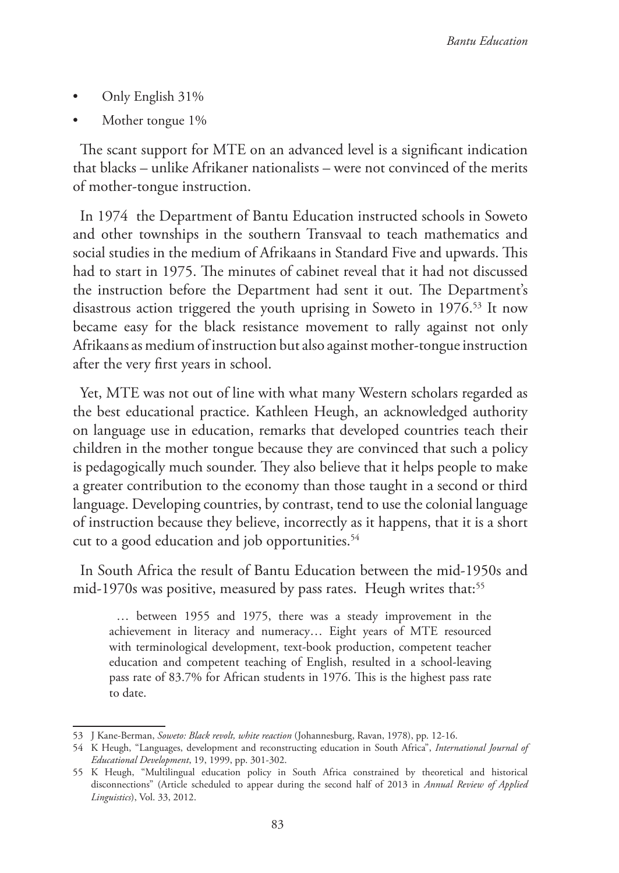- Only English 31%
- Mother tongue 1\%

The scant support for MTE on an advanced level is a significant indication that blacks – unlike Afrikaner nationalists – were not convinced of the merits of mother-tongue instruction.

In 1974 the Department of Bantu Education instructed schools in Soweto and other townships in the southern Transvaal to teach mathematics and social studies in the medium of Afrikaans in Standard Five and upwards. This had to start in 1975. The minutes of cabinet reveal that it had not discussed the instruction before the Department had sent it out. The Department's disastrous action triggered the youth uprising in Soweto in 1976.<sup>53</sup> It now became easy for the black resistance movement to rally against not only Afrikaans as medium of instruction but also against mother-tongue instruction after the very first years in school.

Yet, MTE was not out of line with what many Western scholars regarded as the best educational practice. Kathleen Heugh, an acknowledged authority on language use in education, remarks that developed countries teach their children in the mother tongue because they are convinced that such a policy is pedagogically much sounder. They also believe that it helps people to make a greater contribution to the economy than those taught in a second or third language. Developing countries, by contrast, tend to use the colonial language of instruction because they believe, incorrectly as it happens, that it is a short cut to a good education and job opportunities.<sup>54</sup>

In South Africa the result of Bantu Education between the mid-1950s and mid-1970s was positive, measured by pass rates. Heugh writes that:<sup>55</sup>

… between 1955 and 1975, there was a steady improvement in the achievement in literacy and numeracy… Eight years of MTE resourced with terminological development, text-book production, competent teacher education and competent teaching of English, resulted in a school-leaving pass rate of 83.7% for African students in 1976. This is the highest pass rate to date.

<sup>53</sup> J Kane-Berman, *Soweto: Black revolt, white reaction* (Johannesburg, Ravan, 1978), pp. 12-16.

<sup>54</sup> K Heugh, "Languages, development and reconstructing education in South Africa", *International Journal of Educational Development*, 19, 1999, pp. 301-302.

<sup>55</sup> K Heugh, "Multilingual education policy in South Africa constrained by theoretical and historical disconnections" (Article scheduled to appear during the second half of 2013 in *Annual Review of Applied Linguistics*), Vol. 33, 2012.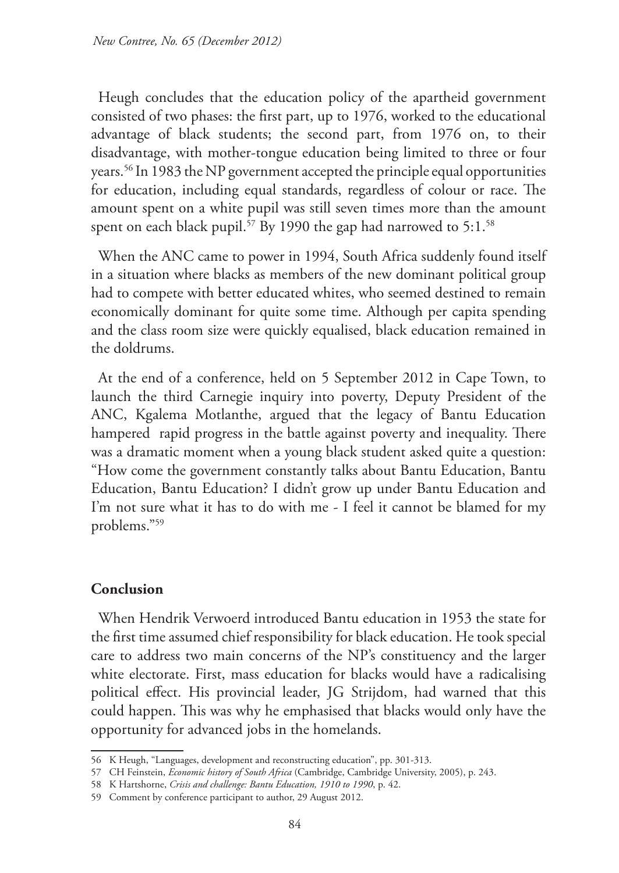Heugh concludes that the education policy of the apartheid government consisted of two phases: the first part, up to 1976, worked to the educational advantage of black students; the second part, from 1976 on, to their disadvantage, with mother-tongue education being limited to three or four years.56 In 1983 the NP government accepted the principle equal opportunities for education, including equal standards, regardless of colour or race. The amount spent on a white pupil was still seven times more than the amount spent on each black pupil.<sup>57</sup> By 1990 the gap had narrowed to 5:1.<sup>58</sup>

When the ANC came to power in 1994, South Africa suddenly found itself in a situation where blacks as members of the new dominant political group had to compete with better educated whites, who seemed destined to remain economically dominant for quite some time. Although per capita spending and the class room size were quickly equalised, black education remained in the doldrums.

At the end of a conference, held on 5 September 2012 in Cape Town, to launch the third Carnegie inquiry into poverty, Deputy President of the ANC, Kgalema Motlanthe, argued that the legacy of Bantu Education hampered rapid progress in the battle against poverty and inequality. There was a dramatic moment when a young black student asked quite a question: "How come the government constantly talks about Bantu Education, Bantu Education, Bantu Education? I didn't grow up under Bantu Education and I'm not sure what it has to do with me - I feel it cannot be blamed for my problems."59

#### **Conclusion**

When Hendrik Verwoerd introduced Bantu education in 1953 the state for the first time assumed chief responsibility for black education. He took special care to address two main concerns of the NP's constituency and the larger white electorate. First, mass education for blacks would have a radicalising political effect. His provincial leader, JG Strijdom, had warned that this could happen. This was why he emphasised that blacks would only have the opportunity for advanced jobs in the homelands.

<sup>56</sup> K Heugh, "Languages, development and reconstructing education", pp. 301-313.

<sup>57</sup> CH Feinstein, *Economic history of South Africa* (Cambridge, Cambridge University, 2005), p. 243.

<sup>58</sup> K Hartshorne, *Crisis and challenge: Bantu Education, 1910 to 1990*, p. 42.

<sup>59</sup> Comment by conference participant to author, 29 August 2012.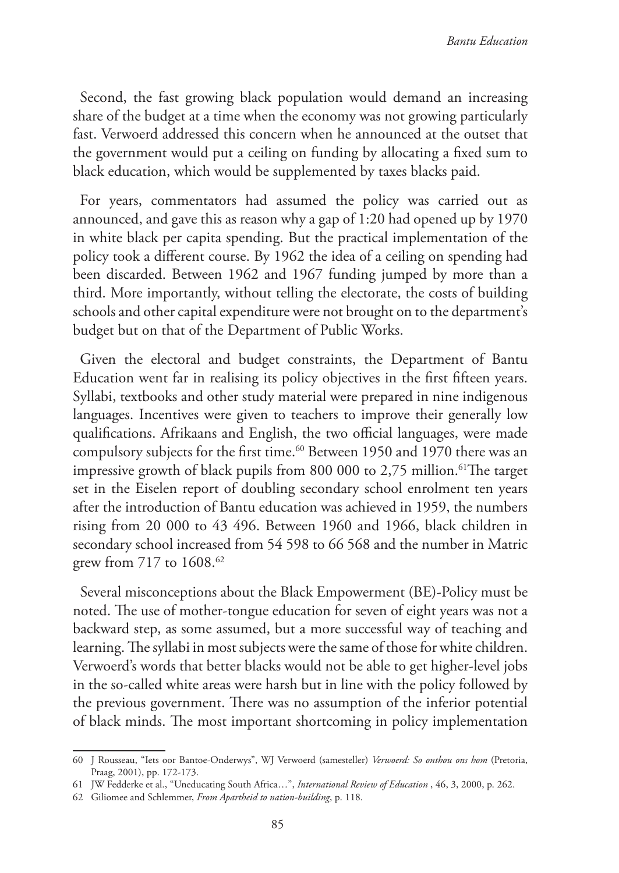Second, the fast growing black population would demand an increasing share of the budget at a time when the economy was not growing particularly fast. Verwoerd addressed this concern when he announced at the outset that the government would put a ceiling on funding by allocating a fixed sum to black education, which would be supplemented by taxes blacks paid.

For years, commentators had assumed the policy was carried out as announced, and gave this as reason why a gap of 1:20 had opened up by 1970 in white black per capita spending. But the practical implementation of the policy took a different course. By 1962 the idea of a ceiling on spending had been discarded. Between 1962 and 1967 funding jumped by more than a third. More importantly, without telling the electorate, the costs of building schools and other capital expenditure were not brought on to the department's budget but on that of the Department of Public Works.

Given the electoral and budget constraints, the Department of Bantu Education went far in realising its policy objectives in the first fifteen years. Syllabi, textbooks and other study material were prepared in nine indigenous languages. Incentives were given to teachers to improve their generally low qualifications. Afrikaans and English, the two official languages, were made compulsory subjects for the first time.<sup>60</sup> Between 1950 and 1970 there was an impressive growth of black pupils from 800 000 to 2,75 million.<sup>61</sup>The target set in the Eiselen report of doubling secondary school enrolment ten years after the introduction of Bantu education was achieved in 1959, the numbers rising from 20 000 to 43 496. Between 1960 and 1966, black children in secondary school increased from 54 598 to 66 568 and the number in Matric grew from 717 to 1608.<sup>62</sup>

Several misconceptions about the Black Empowerment (BE)-Policy must be noted. The use of mother-tongue education for seven of eight years was not a backward step, as some assumed, but a more successful way of teaching and learning. The syllabi in most subjects were the same of those for white children. Verwoerd's words that better blacks would not be able to get higher-level jobs in the so-called white areas were harsh but in line with the policy followed by the previous government. There was no assumption of the inferior potential of black minds. The most important shortcoming in policy implementation

<sup>60</sup> J Rousseau, "Iets oor Bantoe-Onderwys", WJ Verwoerd (samesteller) *Verwoerd: So onthou ons hom* (Pretoria, Praag, 2001), pp. 172-173.

<sup>61</sup> JW Fedderke et al., "Uneducating South Africa…", *International Review of Education* , 46, 3, 2000, p. 262.

<sup>62</sup> Giliomee and Schlemmer, *From Apartheid to nation-building*, p. 118.